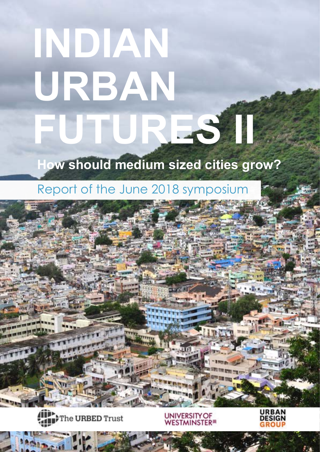# **INDIAN URBAN FUTURES II**

## **How should medium sized cities grow?**

### Report of the June 2018 symposium



Indian Futures II - Report of the 2018 symposium and 2018 symposium of the 2018 symposium of the 2018 symposium of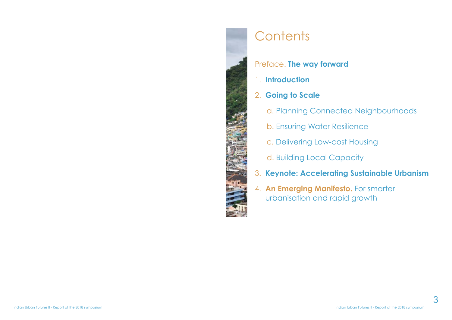

# **Contents**

### Preface. **The way forward**

- 1. **Introduction**
- 2. **Going to Scale**
	- a. Planning Connected Neighbourhoods
	- b. Ensuring Water Resilience
	- c. Delivering Low-cost Housing
	- d. Building Local Capacity
- 3. **Keynote: Accelerating Sustainable Urbanism**
- 4. **An Emerging Manifesto.** For smarter urbanisation and rapid growth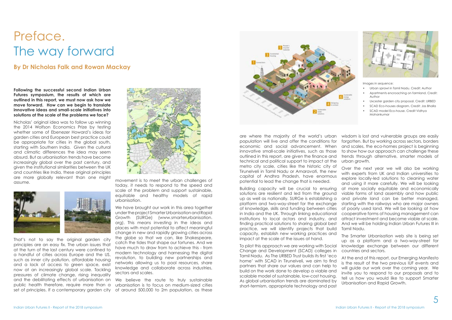**Following the successful second Indian Urban Futures symposium, the results of which are outlined in this report, we must now ask how we move forward. How can we begin to translate innovative ideas and small-scale initiatives into solutions at the scale of the problems we face?**

Nicholas' original idea was to follow up winning the 2014 Wolfson Economics Prize by testing whether some of Ebenezer Howard's ideas for garden cities and European best practice could be appropriate for cities in the global south, starting with Southern India. Given the cultural and climatic differences the idea may seem absurd. But as urbanisation trends have become increasingly global over the past century, and given the institutional similarities between the UK and countries like India, these original principles are more globally relevant than one might assume.



That's not to say the original garden city principles are an easy fix. The urban issues that at the turn of the last century were confined to a handful of cities across Europe and the US, such as inner city pollution, affordable housing and a lack of access to green space, exist now at an increasingly global scale. Tackling pressures of climate change, rising inequality and the debilitating effects of urbanisation on public health therefore, require more than a set of principles. If a contemporary garden city



We believe the route to truly sustainable urbanisation is to focus on medium-sized cities of around 500,000 to 2m population, as these

are where the majority of the world's urban population will live and offer the conditions for economic and social advancement. When innovative small-scale initiatives, such as those outlined in this report, are given the finance and technical and political support to impact at the metro city scale, cities like the historic city of wisdom is lost and vulnerable groups are easily forgotten. But by working across sectors, borders and scales, the eco-homes project is beginning to show how our approach can challenge these trends through alternative, smarter models of urban growth. Over the next year we will also be working with experts from UK and Indian universities to explore locally-led solutions to cleaning water



#### **By Dr Nicholas Falk and Rowan Mackay**

# Preface. The way forward

movement is to meet the urban challenges of today, it needs to respond to the speed and scale of the problem and support sustainable, equitable and healthy models of rapid urbanisation.

We have brought our work in this area together under the project Smarter Urbanisation and Rapid Growth (SURGe) (www.smarterurbanisation. org). This means investing in the ideas and places with most potential to affect meaningful change in new and rapidly growing cities across the globe so that we can, like Shakespeare, catch the tides that shape our fortunes. And we have much to draw from to achieve this - from modern technology and harnessing the digital revolution, to building new partnerships and networks allowing us to pool resources, share knowledge and collaborate across industries, sectors and scales.

up as a platform and a two-way-street for knowledge exchange between our different

Tirunelveli in Tamil Nadu or Amaravati, the new capital of Andhra Pradesh, have enormous potential to lead the change that is needed. Building capacity will be crucial to ensuring solutions are resilient and led from the ground up as well as nationally. SURGe is establishing a platform and two-way-street for the exchange of knowledge, skills and funding between cities in India and the UK. Through linking educational institutions to local actors and industry, and finding practical solutions to sharing alobal best practice, we will identify projects that build capacity, establish new working practices and impact at the scale of the issues at hand. and using it more carefully. We will be looking at more socially equitable and economically viable forms of land assembly and how public and private land can be better managed, starting with the railways who are major owners of poorly used land. We will be looking at how cooperative forms of housing management can attract investment and become viable at scale. And we will be holding Indian Urban Futures III in Tamil Nadu. The Smarter Urbanisation web site is being set

To pilot this approach we are working with Social Change and Development (SCAD) colleges in Tamil Nadu. As The URBED Trust builds its first 'eco home' with SCAD in Tirunelveli, we aim to find partners that share our values and can help to build on the work done to develop a viable and scalable model of sustainable, low-cost housing. As global urbanisation trends are dominated by short-termism, appropriate technology and past countries and sectors. At the end of this report, our Emerging Manifesto is the result of the two previous IUF events and will guide our work over the coming year. We invite you to respond to our proposals and to tell us how you would like to support Smarter Urbanisation and Rapid Growth.



Images in sequence:

- Urban sprawl in Tamil Nadu. Credit: Author
- Apartments encroaching on farmland. Credit: Author
- Uxcester garden city proposal. Credit: URBED
- SCAD Eco-houses diagram. Credit: Jas Bhalla
- SCAD model Eco-house. Credit Vidhya Mohankumar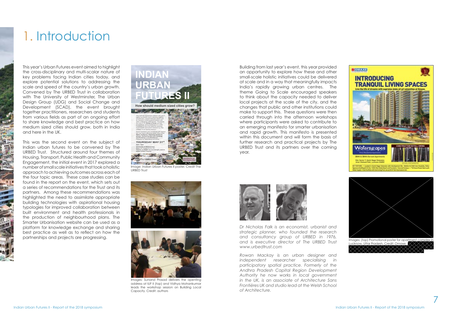# 1. Introduction

This year's Urban Futures event aimed to highlight the cross-disciplinary and multi-scalar nature of key problems facing Indian cities today, and explore potential solutions to addressing the scale and speed of the country's urban growth. Convened by The URBED Trust in collaboration with The University of Westminster, The Urban Design Group (UDG) and Social Change and Development (SCAD), the event brought together practitioners, researchers and students from various fields as part of an ongoing effort to share knowledge and best practice on how medium sized cities should grow, both in India and here in the UK.

This was the second event on the subject of Indian urban futures to be convened by The URBED Trust. Structured around four themes of Housing, Transport, Public Health and Community Engagement, the initial event in 2017 explored a number of small scale initiatives that took a holistic approach to achieving outcomes across each of the four topic areas. These case studies can be found in the report on the event, which sets out a series of recommendations for the Trust and its partners. Among these recommendations was highlighted the need to assimilate appropriate building technologies with aspirational housing typologies for improved collaboration between built environment and health professionals in the production of neighbourhood plans. The Smarter Urbanisation website can be used as a platform for knowledge exchange and sharing best practice as well as to reflect on how the partnerships and projects are progressing.



Image: Indian Urban Futures II poster. Credit The URBED Trust





Images: Sunand Prasad delivers the openting address at IUF II (top) and Vidhya Mohankumar leads the workshop session on Building Local Capacity. Credit: authors

Building from last year's event, this year provided an opportunity to explore how these and other small-scale holistic initiatives could be delivered at scale and in a way that meaningfully impacts India's rapidly growing urban centres. The theme Going to Scale encouraged speakers to think about the capacity needed to deliver local projects at the scale of the city, and the changes that public and other institutions could make to support this. These questions were then carried through into the afternoon workshops where participants were asked to contribute to an emerging manifesto for smarter urbanisation and rapid growth. This manifesto is presented within this document and will form the basis of further research and practical projects by The URBED Trust and its partners over the coming year.



*Dr Nicholas Falk is an economist, urbanist and strategic planner, who founded the research and consultancy group of URBED in 1976, and is executive director of The URBED Trust www.urbedtrust.com*

*Rowan Mackay is an urban designer and independent researcher specialising in participatory spatial practice. Formerly of the Andhra Pradesh Capital Region Development Authority he now works in local government in the UK, is an associate of Architecture Sans Frontières UK and studio lead at the Welsh School of Architecture.*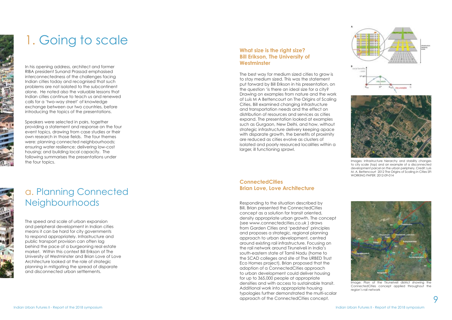

In his opening address, architect and former RIBA president Sunand Prassad emphasised interconnectedness of the challenges facing Indian cities today and recognised that such problems are not isolated to the subcontinent alone. He noted also the valuable lessons that Indian cities continue to teach us and renewed calls for a 'two-way street' of knowledge exchange between our two countries, before introducing the topics of the presentations.

The speed and scale of urban expansion and peripheral development in Indian cities means it can be hard for city governments to respond appropriately. Infrastructure and public transport provision can often lag behind the pace of a burgeoning real estate market. Within this context Bill Erikson of The University of Westminster and Brian Love of Love Architecture looked at the role of strategic planning in mitigating the spread of disparate and disconnected urban settlements.

Speakers were selected in pairs, together providing a statement and response on the four event topics, drawing from case studies or their own research in those fields. The four themes were: planning connected neighbourhoods; ensuring water resilience; delivering low-cost housing; and building local capacity. The following summarises the presentations under the four topics.



# 1. Going to scale

### a. Planning Connected Neighbourhoods

#### **What size is the right size? Bill Erikson, The University of Westminster**



Images: Infrastructure hierarchy and stability chanaes to city scale (top) and an example of a disconnected development parcel on the urban periphery. Credit: Luís M. A. Bettencourt 2012 The Origins of Scaling in Cities SFI WORKING PAPER: 2012-09-014

The best way for medium sized cities to grow is to stay medium sized. This was the statement put forward by Bill Erikson in his presentation, on the question 'is there an ideal size for a city? Drawing on examples from nature and the work of Luís M A Bettencourt on The Origins of Scaling Cities, Bill examined changing infrastructure and transportation needs and the effect on distribution of resources and services as cities expand. The presentation looked at examples such as Gurgaon, New Delhi, and how, without strategic infrastructure delivery keeping apace with disparate arowth, the benefits of proximity are reduced as cities evolve as clusters of isolated and poorly resourced localities within a larger, ill functioning sprawl.

Responding to the situation described by Bill, Brian presented the ConnectedCities concept as a solution for transit oriented, density appropriate urban growth. The concept (see www.connectedcities.co.uk ) draws from Garden Cities and 'pedshed' principles and proposes a strategic, regional planning approach to urban development, centred around existing rail infrastructure. Focusing on the rail network around Tirunelveli in India's south-eastern state of Tamil Nadu (home to the SCAD colleges and site of The URBED Trust Eco Homes project), Brian proposed that the adoption of a ConnectedCities approach to urban development could deliver housing for up to 365,000 people at appropriate densities and with access to sustainable transit. Additional work into appropriate housing typologies further demonstrated the multi-scalar approach of the ConnectedCities concept.

#### **ConnectedCities Brian Love, Love Architecture**



Image: Plan of the Tirunelveli district showing the ConnectedCities concept applied throughout the region's rail network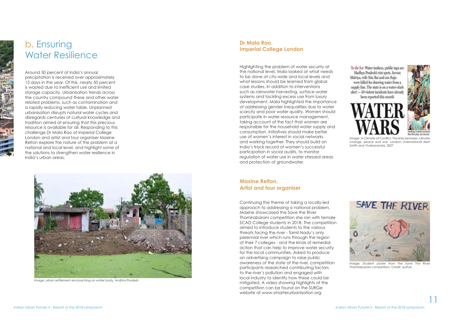To die for: Water tankers, public taps are Madhya Pradesh's riot spots. Jeevan Malviva, wife Sita Bai and son Raju were killed for drawing water from a supply line. The state is on a water-clash alert - 50 violent incidents have already been reported this month





Around 50 percent of India's annual precipitation is received over approximately 15 days in the year. Of this, nearly 50 percent is wasted due to inefficient use and limited storage capacity. Urbanisation trends across the country compound these and other water related problems, such as contamination and a rapidly reducing water table. Unplanned urbanisation disrupts natural water cycles and disregards centuries of cultural knowledge and tradition aimed at ensuring that this precious resource is available for all. Responding to this challenge Dr Mala Rao of Imperial College London and artist and tour organiser Maxine Relton explore the nature of the problem at a national and local level, and highlight some of the solutions to strengthen water resilience in India's urban areas.

### b. Ensuring Water Resilience

#### **Dr Mala Rao, Imperial College London**

Highlighting the problem of water security at the national level, Mala looked at what needs to be done at city-wide and local levels and what lessons should be learned from global case studies. In addition to interventions such as rainwater harvesting, surface water systems and tackling excess use from luxury development, Mala highlighted the importance of addressing gender inequalities due to water scarcity and poor water quality. Women should participate in water resource management, taking account of the fact that women are responsible for the household water supply and consumption. Initiatives should make better use of women's interest in social networks and working together. They should build on India's track record of women's successful participation in social audits, to monitor regulation of water use in water stressed areas and protection of groundwater.

Image: A Climate of Conflict The links between climate change, peace and war. London: International Alert Smith and Vivekananda, 2007

Continuing the theme of taking a locally-led approach to addressing a national problem, Maxine showcased the Save the River Thamirabarani competition she ran with female SCAD College students in 2018. The competition aimed to introduce students to the various threats facing the river - Tamil Nadu's only perennial river which runs through the region of their 7 colleges - and the kinds of remedial action that can help to improve water security for the local communities. Asked to produce an advertising campaign to raise public awareness of the state of the river, competition participants researched contributing factors to the river's pollution and engaged with local industry to identify how these could be mitigated. A video showing highlights of the competition can be found on the SURGe website at www.smarterurbanisation.org

#### **Maxine Relton, Artist and tour organiser**



Image: urban settlement encroaching on water body, Andhra Pradesh



Image: Student poster from the Save The River Thamirabarani competition. Credit: author.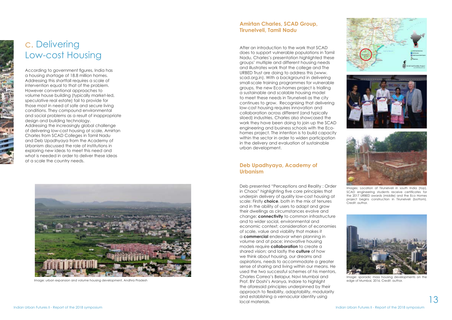





According to government figures, India has a housing shortage of 18.8 million homes. Addressing this shortfall requires a scale of intervention equal to that of the problem. However conventional approaches to volume house building (typically market-led, speculative real estate) fail to provide for those most in need of safe and secure living conditions. They compound environmental and social problems as a result of inappropriate design and building technology.

Addressing the increasingly global challenge of delivering low-cost housing at scale, Amirtan Charles from SCAD Colleges in Tamil Nadu and Deb Upadhyaya from the Academy of Urbanism discussed the role of institutions in exploring new ideas to meet this need and what is needed in order to deliver these ideas at a scale the country needs.



Image: urban expansion and volume housing development, Andhra Pradesh

### c. Delivering Low-cost Housing

#### **Amirtan Charles, SCAD Group, Tirunelveli, Tamil Nadu**

After an introduction to the work that SCAD does to support vulnerable populations in Tamil Nadu, Charles's presentation highlighted these groups' multiple and different housing needs and illustrates work that the college and The URBED Trust are doing to address this (www. scad.org.in). With a background in delivering small-scale training programmes for vulnerable groups, the new Eco-homes project is trialling a sustainable and scalable housing model to meet these needs in Tirunelveli as the city continues to grow. Recognising that delivering low-cost housing requires innovation and collaboration across different (and typically siloed) industries, Charles also showcased the work they have been doing to join up the SCAD engineering and business schools with the Ecohomes project. The intention is to build capacity within the sector in order to widen participation in the delivery and evaluation of sustainable urban development.

Deb presented "Perceptions and Reality : Order in Chaos" highlighting five core principles that underpin delivery of quality low-cost housing at scale: Firstly **choice**, both in the mix of tenures and in the ability of users to adapt and grow their dwellings as circumstances evolve and change; **connectivity** to common infrastructure and to wider social, environmental and economic context; consideration of economies of scale, value and viability that makes it a **commercial** endeavor when planning in volume and at pace; innovative housing models require **collaboration** to create a shared vision; and lastly the **culture** of how we think about housing, our dreams and aspirations, needs to accommodate a greater sense of sharing and living within our means. He used the two successful schemes of his mentors, Charles Correa's Belapur, Navi Mumbai and Prof. BV Doshi's Aranya, Indore to highlight the aforesaid principles underpinned by their approach to flexibility, adaptability, modularity and establishing a vernacular identity using local materials.

#### **Deb Upadhyaya, Academy of Urbanism**

Images: Location of Tirunelveli in south India (top), SCAD engineering students receive certificates for the 2017 URBED awards (middle) and the Eco Homes project begins construction in Tirunelveli (bottom). Credit: author.



Image: sporadic mass housing developments on the edge of Mumbai, 2016. Credit: author.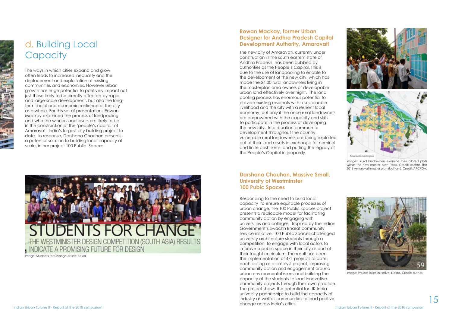The new city of Amaravati, currently under construction in the south eastern state of Andhra Pradesh, has been dubbed by authorities as the People's Capital. This is due to the use of landpooling to enable to the development of the new city, which has made the 24,00 rural landowners living in the masterplan area owners of developable urban land effectively over night. The land pooling process has enormous potential to provide existing residents with a sustainable livelihood and the city with a resilient local economy, but only if the once rural landowners are empowered with the capacity and skills to participate in the process of developing the new city. In a situation common to development throughout the country, yulnerable rural landowners are being exploited out of their land assets in exchange for nominal and finite cash sums, and putting the legacy of the People's Capital in jeopardy.



The ways in which cities expand and grow often leads to increased inequality and the displacement and exploitation of existing communities and economies. However urban growth has huge potential to positively impact not just those likely to be directly affected by rapid and large-scale development, but also the longterm social and economic resilience of the city as a whole. For this set of presentations Rowan Mackay examined the process of landpooling and who the winners and losers are likely to be in the construction of the 'people's capital' of Amaravati, India's largest city building project to date. In response, Darshana Chauhan presents a potential solution to building local capacity at scale, in her project 100 Public Spaces.

### d. Building Local **Capacity**



#### **Rowan Mackay, former Urban Designer for Andhra Pradesh Capital Development Authority, Amaravati**



Images: Rural landowners examine their alloted plots within the new master plan (top). Credit: author. The 2016 Amaravati master plan (bottom). Credit: APCRDA.

#### **Darshana Chauhan, Massive Small, University of Westminster 100 Pubic Spaces**

Responding to the need to build local capacity to ensure equitable processes of urban change, the 100 Public Spaces project presents a replicable model for facilitating community action by engaging with universities and colleges. Inspired by the Indian Government's Swachh Bharat community service initiative, 100 Public Spaces challenged university architecture students through a competition, to engage with local actors to improve a public space in their city as part of their taught curriculum. The result has been the implementation of 471 projects to date, each acting as a catalyst project, improving community action and engagement around urban environmental issues and building the capacity of the students to lead innovative community projects through their own practice. The project shows the potential for UK-India university partnerships to build the capacity of industry as well as communities to lead positive change across India's cities.

Image: Students for Change article cover



Image: Project Tulips Initiative, Noida. Credit: author.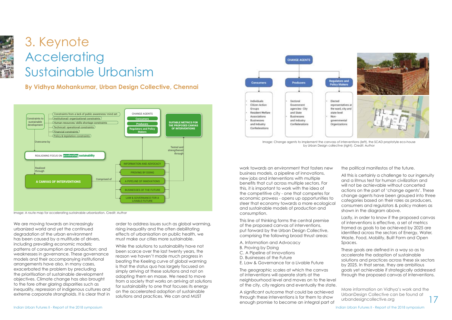Indian Urban Futures II - Report of the 2018 symposium Indian Urban Futures II - Report of the 2018 symposium



# 3. Keynote Accelerating Sustainable Urbanism

order to address issues such as global warming, rising inequality and the often debilitating effects of urbanisation on public health, we must make our cities more sustainable.

While the solutions to sustainability have not been scarce over the last twenty years, the reason we haven't made much progress in beating the Keeling curve of global warming is that the status quo has largely focused on simply arriving at these solutions and not on adopting them en masse. We need to move from a society that works on arriving at solutions for sustainability to one that focuses its energy on the accelerated adoption of sustainable solutions and practices. We can and MUST



A significant outcome that could be achieved through these interventions is for them to show enough promise to become an integral part of

work towards an environment that fosters new business models, a pipeline of innovations, new jobs and interventions with multiple benefits that cut across multiple sectors. For this, it is important to work with the idea of the competitive city - one that competes for economic prowess - opens up opportunities to steer that economy towards a more ecological and sustainable models of production and consumption.

> These goals are defined in a way so as to accelerate the adoption of sustainable solutions and practices across these six sectors by 2025. In that sense, they are ambitious goals yet achievable if strategically addressed through the proposed canvas of interventions.

17 More information on Vidhya's work and the UrbanDesign Collective can be found at urbandesigncollective.org

This line of thinking forms the central premise of the proposed canvas of interventions, put forward by the Urban Design Collective, comprising the following broad thrust areas:

- A. Information and Advocacy
- B. Proving by Doing
- C. A Pipeline of Innovations
- D. Businesses of the Future
- E. Law & Governance for a Livable Future

By Yidhiya Mohankomar, orban Besign Concente, Chr **By Vidhya Mohankumar, Urban Design Collective, Chennai**

> The geographic scales at which the canvas of interventions will operate starts at the neighbourhood level and moves on to the level of the city, city regions and eventually the state.

the political manifestos of the future.

All this is certainly a challenge to our ingenuity and a litmus test for human civilization and will not be achievable without concerted actions on the part of 'change agents'. These change agents have been grouped into three categories based on their roles as producers, consumers and regulators & policy makers as shown in the diagram above.

Lastly, in order to know if the proposed canvas of interventions is effective, a set of metrics framed as goals to be achieved by 2025 are identified across the sectors of Eneray, Water, Waste, Food, Mobility, Built Form and Open Spaces.



Image: A route map for accelerating sustainable urbanisation. Credit: Author

We are moving towards an increasingly urbanized world and yet the continued degradation of the urban environment has been caused by a multitude of drivers, including prevailing economic models; patterns of consumption and production; and weaknesses in governance. These governance models and their accompanying institutional arrangements have also, in many cases, exacerbated the problem by precluding the prioritisation of sustainable development objectives. Climate change has also brought to the fore other glaring disparities such as inequality, repression of indigenous cultures and extreme corporate strongholds. It is clear that in

Image: Change agents to implement the canvass of interventions (left), the SCAD proptotyle eco-house

by Urban Design collective (right). Credit: Author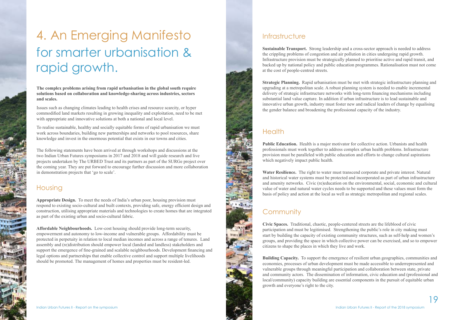#### Housing

**Appropriate Design.** To meet the needs of India's urban poor, housing provision must respond to existing socio-cultural and built contexts, providing safe, energy efficient design and construction, utilising appropriate materials and technologies to create homes that are integrated as part of the existing urban and socio-cultural fabric.

**Affordable Neighbourhoods.** Low-cost housing should provide long-term security, empowerment and autonomy to low-income and vulnerable groups. Affordability must be protected in perpetuity in relation to local median incomes and across a range of tenures. Land assembly and (re)distribution should empower local (landed and landless) stakeholders and support the emergence of fine-grained and scalable neighbourhoods. Development financing and legal options and partnerships that enable collective control and support multiple livelihoods should be promoted. The management of homes and properties must be resident-led.

# 4. An Emerging Manifesto for smarter urbanisation & rapid growth.

Issues such as changing climates leading to health crises and resource scarcity, or hyper commodified land markets resulting in growing inequality and exploitation, need to be met with appropriate and innovative solutions at both a national and local level.



**Sustainable Transport.** Strong leadership and a cross-sector approach is needed to address the crippling problems of congestion and air pollution in cities undergoing rapid growth. Infrastructure provision must be strategically planned to prioritise active and rapid transit, and backed up by national policy and public education programmes. Rationalisation must not come at the cost of people-centred streets.

**Strategic Planning.** Rapid urbanisation must be met with strategic infrastructure planning and upgrading at a metropolitan scale. A robust planning system is needed to enable incremental delivery of strategic infrastructure networks with long-term financing mechanisms including substantial land value capture. In addition if urban infrastructure is to lead sustainable and innovative urban growth, industry must foster new and radical leaders of change by equalising the gender balance and broadening the professional capacity of the industry.

#### **Health**

**The complex problems arising from rapid urbanisation in the global south require solutions based on collaboration and knowledge-sharing across industries, sectors and scales.** 

To realise sustainable, healthy and socially equitable forms of rapid urbanisation we must work across boundaries, building new partnerships and networks to pool resources, share knowledge and invest in the enormous potential that exists in our towns and cities.

The following statements have been arrived at through workshops and discussions at the two Indian Urban Futures symposiums in 2017 and 2018 and will guide research and live projects undertaken by The URBED Trust and its partners as part of the SURGe project over the coming year. They are put forward to encourage further discussion and more collaboration in demonstration projects that 'go to scale'.

**Public Education.** Health is a major motivator for collective action. Urbanists and health professionals must work together to address complex urban health problems. Infrastructure provision must be paralleled with public education and efforts to change cultural aspirations which negatively impact public health.

**Water Resilience.** The right to water must transcend corporate and private interest. Natural and historical water systems must be protected and incorporated as part of urban infrastructure and amenity networks. Civic (re)education on the environmental, social, economic and cultural value of water and natural water cycles needs to be supported and these values must form the basis of policy and action at the local as well as strategic metropolitan and regional scales.

#### **Community**

**Civic Spaces.** Traditional, chaotic, people-centered streets are the lifeblood of civic participation and must be legitimised. Strengthening the public's role in city making must start by building the capacity of existing community structures, such as self-help and women's groups, and providing the space in which collective power can be exercised, and so to empower citizens to shape the places in which they live and work.

**Building Capacity.** To support the emergence of resilient urban geographies, communities and economies, processes of urban development must be made accessible to underrepresented and vulnerable groups through meaningful participation and collaboration between state, private and community actors. The dissemination of information, civic education and (professional and local/community) capacity building are essential components in the pursuit of equitable urban growth and everyone's right to the city.